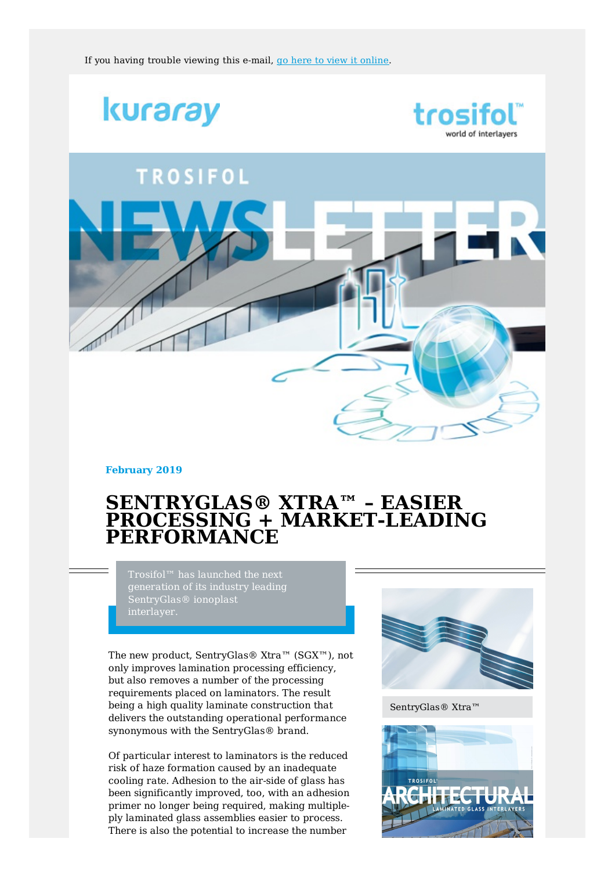





**February 2019**

## **SENTRYGLAS® XTRA™ – EASIER PROCESSING + MARKET-LEADING PERFORMANCE**

generation of its industry leading SentryGlas® ionoplast interlayer.

The new product, SentryGlas® Xtra™ (SGX™), not only improves lamination processing efficiency, but also removes a number of the processing requirements placed on laminators. The result being a high quality laminate construction that delivers the outstanding operational performance synonymous with the SentryGlas® brand.

Of particular interest to laminators is the reduced risk of haze formation caused by an inadequate cooling rate. Adhesion to the air-side of glass has been significantly improved, too, with an adhesion primer no longer being required, making multipleply laminated glass assemblies easier to process. There is also the potential to increase the number



SentryGlas® Xtra™